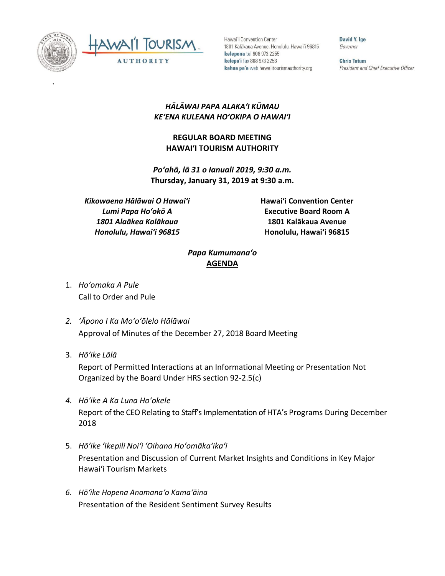

`



Hawai'i Convention Center 1801 Kalākaua Avenue, Honolulu, Hawai'i 96815 kelepona tel 808 973 2255 kelepa'i fax 808 973 2253 kahua pa'a web hawaiitourismauthority.org

David Y. Ige Governor

**Chris Tatum** President and Chief Executive Officer

## *HĀLĀWAI PAPA ALAKAʻI KŪMAU KEʻENA KULEANA HOʻOKIPA O HAWAIʻI*

## **REGULAR BOARD MEETING HAWAI'I TOURISM AUTHORITY**

*Poʻahā, lā 31 o Ianuali 2019, 9:30 a.m.* **Thursday, January 31, 2019 at 9:30 a.m.**

*Kikowaena Hālāwai O Hawaiʻi Lumi Papa Hoʻokō A 1801 Alaākea Kalākaua Honolulu, Hawaiʻi 96815*

**Hawai'i Convention Center Executive Board Room A 1801 Kalākaua Avenue Honolulu, Hawai'i 96815**

## *Papa Kumumanaʻo* **AGENDA**

- 1. *Ho'omaka A Pule* Call to Order and Pule
- *2. ʻĀpono I Ka Moʻoʻōlelo Hālāwai* Approval of Minutes of the December 27, 2018 Board Meeting
- 3. *Hō'ike Lālā*

Report of Permitted Interactions at an Informational Meeting or Presentation Not Organized by the Board Under HRS section 92-2.5(c)

- *4. Hōʻike A Ka Luna Hoʻokele* Report of the CEO Relating to Staff's Implementation of HTA's Programs During December 2018
- 5. *Hō'ike 'Ikepili Noi'i 'Oihana Ho'omāka'ika'i* Presentation and Discussion of Current Market Insights and Conditions in Key Major Hawai'i Tourism Markets
- *6. Hōʻike Hopena Anamanaʻo Kamaʻāina* Presentation of the Resident Sentiment Survey Results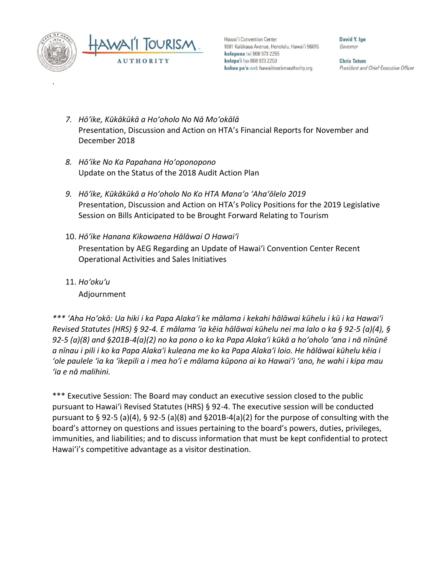

`

Hawai'i Convention Center 1801 Kalākaua Avenue, Honolulu, Hawai'i 96815 kelepona tel 808 973 2255 kelepa'i fax 808 973 2253 kahua pa'a web hawaiitourismauthority.org

David Y. Ine Governor

**Chris Tatum** President and Chief Executive Officer

- *7. Hōʻike, Kūkākūkā a Hoʻoholo No Nā Moʻokālā* Presentation, Discussion and Action on HTA's Financial Reports for November and December 2018
- *8. Hōʻike No Ka Papahana Hoʻoponopono* Update on the Status of the 2018 Audit Action Plan
- *9. Hōʻike, Kūkākūkā a Hoʻoholo No Ko HTA Manaʻo ʻAhaʻōlelo 2019* Presentation, Discussion and Action on HTA's Policy Positions for the 2019 Legislative Session on Bills Anticipated to be Brought Forward Relating to Tourism
- 10. *Hōʻike Hanana Kikowaena Hālāwai O Hawaiʻi* Presentation by AEG Regarding an Update of Hawai'i Convention Center Recent Operational Activities and Sales Initiatives
- 11. *Ho'oku'u* Adjournment

*\*\*\* ʻAha Hoʻokō: Ua hiki i ka Papa Alakaʻi ke mālama i kekahi hālāwai kūhelu i kū i ka Hawaiʻi Revised Statutes (HRS) § 92-4. E mālama ʻia kēia hālāwai kūhelu nei ma lalo o ka § 92-5 (a)(4), § 92-5 (a)(8) and §201B-4(a)(2) no ka pono o ko ka Papa Alakaʻi kūkā a hoʻoholo ʻana i nā nīnūnē a nīnau i pili i ko ka Papa Alakaʻi kuleana me ko ka Papa Alakaʻi loio. He hālāwai kūhelu kēia i ʻole paulele ʻia ka ʻikepili a i mea hoʻi e mālama kūpono ai ko Hawaiʻi ʻano, he wahi i kipa mau ʻia e nā malihini.*

\*\*\* Executive Session: The Board may conduct an executive session closed to the public pursuant to Hawai'i Revised Statutes (HRS) § 92-4. The executive session will be conducted pursuant to § 92-5 (a)(4), § 92-5 (a)(8) and §201B-4(a)(2) for the purpose of consulting with the board's attorney on questions and issues pertaining to the board's powers, duties, privileges, immunities, and liabilities; and to discuss information that must be kept confidential to protect Hawai'i's competitive advantage as a visitor destination.